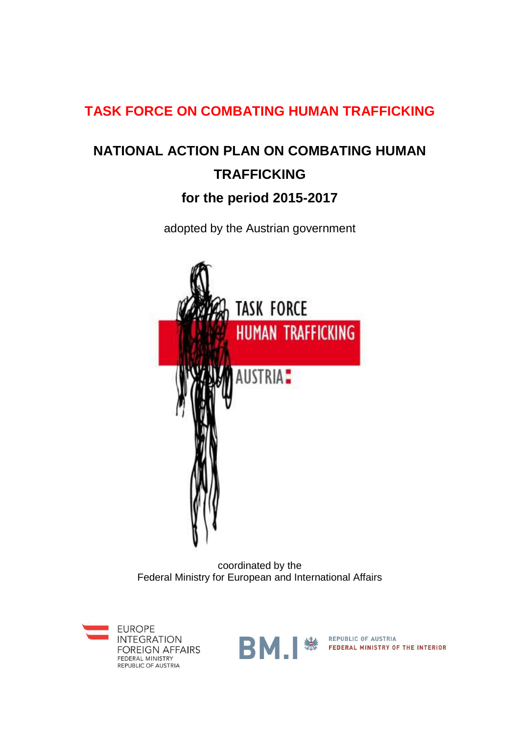## **TASK FORCE ON COMBATING HUMAN TRAFFICKING**

# **NATIONAL ACTION PLAN ON COMBATING HUMAN TRAFFICKING**

## **for the period 2015-2017**

adopted by the Austrian government



coordinated by the Federal Ministry for European and International Affairs





**BM EDERAL MINISTRY OF THE INTERIOR**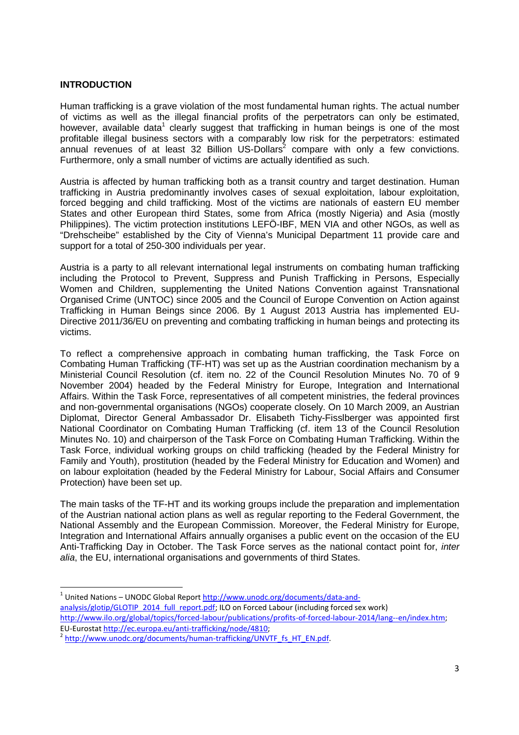### **INTRODUCTION**

l

Human trafficking is a grave violation of the most fundamental human rights. The actual number of victims as well as the illegal financial profits of the perpetrators can only be estimated, however, available data<sup>1</sup> clearly suggest that trafficking in human beings is one of the most profitable illegal business sectors with a comparably low risk for the perpetrators: estimated annual revenues of at least 32 Billion US-Dollars $^2$  compare with only a few convictions. Furthermore, only a small number of victims are actually identified as such.

Austria is affected by human trafficking both as a transit country and target destination. Human trafficking in Austria predominantly involves cases of sexual exploitation, labour exploitation, forced begging and child trafficking. Most of the victims are nationals of eastern EU member States and other European third States, some from Africa (mostly Nigeria) and Asia (mostly Philippines). The victim protection institutions LEFÖ-IBF, MEN VIA and other NGOs, as well as "Drehscheibe" established by the City of Vienna's Municipal Department 11 provide care and support for a total of 250-300 individuals per year.

Austria is a party to all relevant international legal instruments on combating human trafficking including the Protocol to Prevent, Suppress and Punish Trafficking in Persons, Especially Women and Children, supplementing the United Nations Convention against Transnational Organised Crime (UNTOC) since 2005 and the Council of Europe Convention on Action against Trafficking in Human Beings since 2006. By 1 August 2013 Austria has implemented EU-Directive 2011/36/EU on preventing and combating trafficking in human beings and protecting its victims.

To reflect a comprehensive approach in combating human trafficking, the Task Force on Combating Human Trafficking (TF-HT) was set up as the Austrian coordination mechanism by a Ministerial Council Resolution (cf. item no. 22 of the Council Resolution Minutes No. 70 of 9 November 2004) headed by the Federal Ministry for Europe, Integration and International Affairs. Within the Task Force, representatives of all competent ministries, the federal provinces and non-governmental organisations (NGOs) cooperate closely. On 10 March 2009, an Austrian Diplomat, Director General Ambassador Dr. Elisabeth Tichy-Fisslberger was appointed first National Coordinator on Combating Human Trafficking (cf. item 13 of the Council Resolution Minutes No. 10) and chairperson of the Task Force on Combating Human Trafficking. Within the Task Force, individual working groups on child trafficking (headed by the Federal Ministry for Family and Youth), prostitution (headed by the Federal Ministry for Education and Women) and on labour exploitation (headed by the Federal Ministry for Labour, Social Affairs and Consumer Protection) have been set up.

The main tasks of the TF-HT and its working groups include the preparation and implementation of the Austrian national action plans as well as regular reporting to the Federal Government, the National Assembly and the European Commission. Moreover, the Federal Ministry for Europe, Integration and International Affairs annually organises a public event on the occasion of the EU Anti-Trafficking Day in October. The Task Force serves as the national contact point for, *inter* alia, the EU, international organisations and governments of third States.

<sup>&</sup>lt;sup>1</sup> United Nations – UNODC Global Report http://www.unodc.org/documents/data-andanalysis/glotip/GLOTIP\_2014\_full\_report.pdf; ILO on Forced Labour (including forced sex work) http://www.ilo.org/global/topics/forced-labour/publications/profits-of-forced-labour-2014/lang--en/index.htm; EU-Eurostat http://ec.europa.eu/anti-trafficking/node/4810;

<sup>&</sup>lt;sup>2</sup> http://www.unodc.org/documents/human-trafficking/UNVTF\_fs\_HT\_EN.pdf.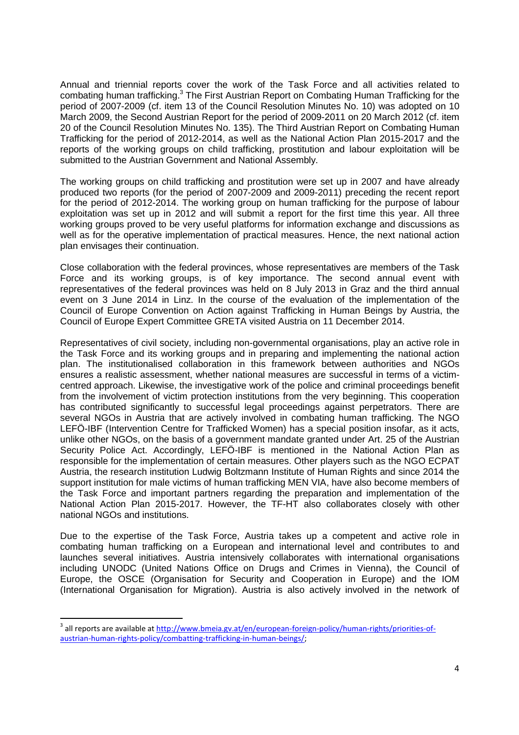Annual and triennial reports cover the work of the Task Force and all activities related to combating human trafficking.<sup>3</sup> The First Austrian Report on Combating Human Trafficking for the period of 2007-2009 (cf. item 13 of the Council Resolution Minutes No. 10) was adopted on 10 March 2009, the Second Austrian Report for the period of 2009-2011 on 20 March 2012 (cf. item 20 of the Council Resolution Minutes No. 135). The Third Austrian Report on Combating Human Trafficking for the period of 2012-2014, as well as the National Action Plan 2015-2017 and the reports of the working groups on child trafficking, prostitution and labour exploitation will be submitted to the Austrian Government and National Assembly.

The working groups on child trafficking and prostitution were set up in 2007 and have already produced two reports (for the period of 2007-2009 and 2009-2011) preceding the recent report for the period of 2012-2014. The working group on human trafficking for the purpose of labour exploitation was set up in 2012 and will submit a report for the first time this year. All three working groups proved to be very useful platforms for information exchange and discussions as well as for the operative implementation of practical measures. Hence, the next national action plan envisages their continuation.

Close collaboration with the federal provinces, whose representatives are members of the Task Force and its working groups, is of key importance. The second annual event with representatives of the federal provinces was held on 8 July 2013 in Graz and the third annual event on 3 June 2014 in Linz. In the course of the evaluation of the implementation of the Council of Europe Convention on Action against Trafficking in Human Beings by Austria, the Council of Europe Expert Committee GRETA visited Austria on 11 December 2014.

Representatives of civil society, including non-governmental organisations, play an active role in the Task Force and its working groups and in preparing and implementing the national action plan. The institutionalised collaboration in this framework between authorities and NGOs ensures a realistic assessment, whether national measures are successful in terms of a victimcentred approach. Likewise, the investigative work of the police and criminal proceedings benefit from the involvement of victim protection institutions from the very beginning. This cooperation has contributed significantly to successful legal proceedings against perpetrators. There are several NGOs in Austria that are actively involved in combating human trafficking. The NGO LEFÖ-IBF (Intervention Centre for Trafficked Women) has a special position insofar, as it acts, unlike other NGOs, on the basis of a government mandate granted under Art. 25 of the Austrian Security Police Act. Accordingly, LEFÖ-IBF is mentioned in the National Action Plan as responsible for the implementation of certain measures. Other players such as the NGO ECPAT Austria, the research institution Ludwig Boltzmann Institute of Human Rights and since 2014 the support institution for male victims of human trafficking MEN VIA, have also become members of the Task Force and important partners regarding the preparation and implementation of the National Action Plan 2015-2017. However, the TF-HT also collaborates closely with other national NGOs and institutions.

Due to the expertise of the Task Force, Austria takes up a competent and active role in combating human trafficking on a European and international level and contributes to and launches several initiatives. Austria intensively collaborates with international organisations including UNODC (United Nations Office on Drugs and Crimes in Vienna), the Council of Europe, the OSCE (Organisation for Security and Cooperation in Europe) and the IOM (International Organisation for Migration). Austria is also actively involved in the network of

l

<sup>&</sup>lt;sup>3</sup> all reports are available at <u>http://www.bmeia.gv.at/en/european-foreign-policy/human-rights/priorities-of-</u> austrian-human-rights-policy/combatting-trafficking-in-human-beings/;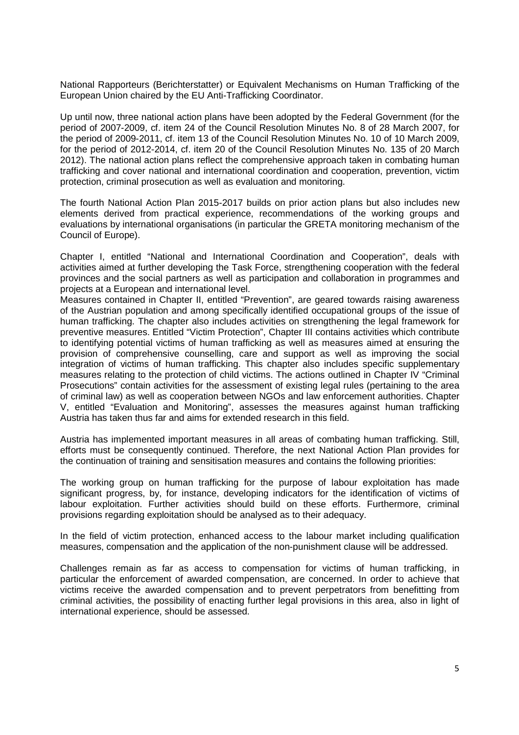National Rapporteurs (Berichterstatter) or Equivalent Mechanisms on Human Trafficking of the European Union chaired by the EU Anti-Trafficking Coordinator.

Up until now, three national action plans have been adopted by the Federal Government (for the period of 2007-2009, cf. item 24 of the Council Resolution Minutes No. 8 of 28 March 2007, for the period of 2009-2011, cf. item 13 of the Council Resolution Minutes No. 10 of 10 March 2009, for the period of 2012-2014, cf. item 20 of the Council Resolution Minutes No. 135 of 20 March 2012). The national action plans reflect the comprehensive approach taken in combating human trafficking and cover national and international coordination and cooperation, prevention, victim protection, criminal prosecution as well as evaluation and monitoring.

The fourth National Action Plan 2015-2017 builds on prior action plans but also includes new elements derived from practical experience, recommendations of the working groups and evaluations by international organisations (in particular the GRETA monitoring mechanism of the Council of Europe).

Chapter I, entitled "National and International Coordination and Cooperation", deals with activities aimed at further developing the Task Force, strengthening cooperation with the federal provinces and the social partners as well as participation and collaboration in programmes and projects at a European and international level.

Measures contained in Chapter II, entitled "Prevention", are geared towards raising awareness of the Austrian population and among specifically identified occupational groups of the issue of human trafficking. The chapter also includes activities on strengthening the legal framework for preventive measures. Entitled "Victim Protection", Chapter III contains activities which contribute to identifying potential victims of human trafficking as well as measures aimed at ensuring the provision of comprehensive counselling, care and support as well as improving the social integration of victims of human trafficking. This chapter also includes specific supplementary measures relating to the protection of child victims. The actions outlined in Chapter IV "Criminal Prosecutions" contain activities for the assessment of existing legal rules (pertaining to the area of criminal law) as well as cooperation between NGOs and law enforcement authorities. Chapter V, entitled "Evaluation and Monitoring", assesses the measures against human trafficking Austria has taken thus far and aims for extended research in this field.

Austria has implemented important measures in all areas of combating human trafficking. Still, efforts must be consequently continued. Therefore, the next National Action Plan provides for the continuation of training and sensitisation measures and contains the following priorities:

The working group on human trafficking for the purpose of labour exploitation has made significant progress, by, for instance, developing indicators for the identification of victims of labour exploitation. Further activities should build on these efforts. Furthermore, criminal provisions regarding exploitation should be analysed as to their adequacy.

In the field of victim protection, enhanced access to the labour market including qualification measures, compensation and the application of the non-punishment clause will be addressed.

Challenges remain as far as access to compensation for victims of human trafficking, in particular the enforcement of awarded compensation, are concerned. In order to achieve that victims receive the awarded compensation and to prevent perpetrators from benefitting from criminal activities, the possibility of enacting further legal provisions in this area, also in light of international experience, should be assessed.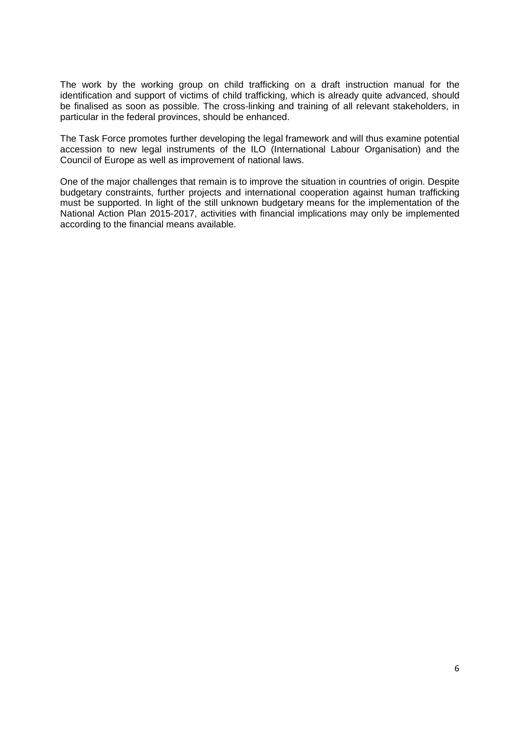The work by the working group on child trafficking on a draft instruction manual for the identification and support of victims of child trafficking, which is already quite advanced, should be finalised as soon as possible. The cross-linking and training of all relevant stakeholders, in particular in the federal provinces, should be enhanced.

The Task Force promotes further developing the legal framework and will thus examine potential accession to new legal instruments of the ILO (International Labour Organisation) and the Council of Europe as well as improvement of national laws.

One of the major challenges that remain is to improve the situation in countries of origin. Despite budgetary constraints, further projects and international cooperation against human trafficking must be supported. In light of the still unknown budgetary means for the implementation of the National Action Plan 2015-2017, activities with financial implications may only be implemented according to the financial means available.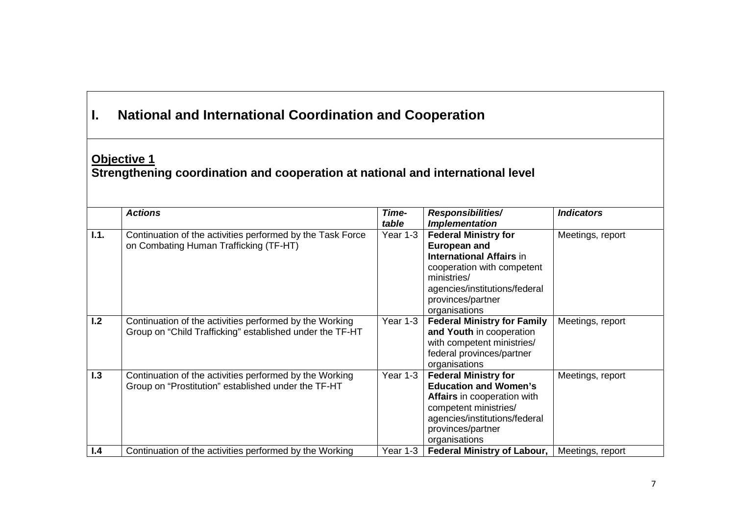| L                                                                                                    | <b>National and International Coordination and Cooperation</b>                                                      |                |                                                                                                                                                                                                           |                   |  |
|------------------------------------------------------------------------------------------------------|---------------------------------------------------------------------------------------------------------------------|----------------|-----------------------------------------------------------------------------------------------------------------------------------------------------------------------------------------------------------|-------------------|--|
| <b>Objective 1</b><br>Strengthening coordination and cooperation at national and international level |                                                                                                                     |                |                                                                                                                                                                                                           |                   |  |
|                                                                                                      | <b>Actions</b>                                                                                                      | Time-<br>table | <b>Responsibilities/</b><br><b>Implementation</b>                                                                                                                                                         | <b>Indicators</b> |  |
| 1.1.                                                                                                 | Continuation of the activities performed by the Task Force<br>on Combating Human Trafficking (TF-HT)                | Year 1-3       | <b>Federal Ministry for</b><br><b>European and</b><br><b>International Affairs in</b><br>cooperation with competent<br>ministries/<br>agencies/institutions/federal<br>provinces/partner<br>organisations | Meetings, report  |  |
| 1.2                                                                                                  | Continuation of the activities performed by the Working<br>Group on "Child Trafficking" established under the TF-HT | Year 1-3       | <b>Federal Ministry for Family</b><br>and Youth in cooperation<br>with competent ministries/<br>federal provinces/partner<br>organisations                                                                | Meetings, report  |  |
| 1.3                                                                                                  | Continuation of the activities performed by the Working<br>Group on "Prostitution" established under the TF-HT      | Year 1-3       | <b>Federal Ministry for</b><br><b>Education and Women's</b><br>Affairs in cooperation with<br>competent ministries/<br>agencies/institutions/federal<br>provinces/partner<br>organisations                | Meetings, report  |  |
| 1.4                                                                                                  | Continuation of the activities performed by the Working                                                             | Year 1-3       | <b>Federal Ministry of Labour,</b>                                                                                                                                                                        | Meetings, report  |  |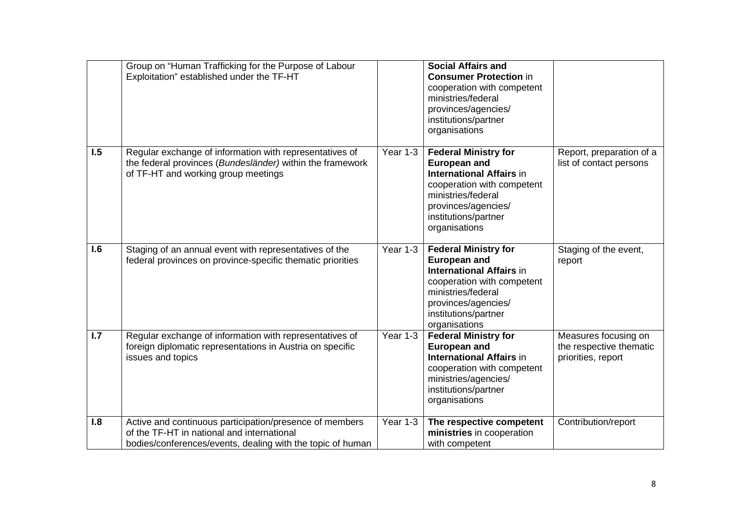|                  | Group on "Human Trafficking for the Purpose of Labour<br>Exploitation" established under the TF-HT                                                                  |          | <b>Social Affairs and</b><br><b>Consumer Protection in</b><br>cooperation with competent<br>ministries/federal<br>provinces/agencies/<br>institutions/partner<br>organisations                            |                                                                       |
|------------------|---------------------------------------------------------------------------------------------------------------------------------------------------------------------|----------|-----------------------------------------------------------------------------------------------------------------------------------------------------------------------------------------------------------|-----------------------------------------------------------------------|
| $\overline{1.5}$ | Regular exchange of information with representatives of<br>the federal provinces (Bundesländer) within the framework<br>of TF-HT and working group meetings         | Year 1-3 | <b>Federal Ministry for</b><br><b>European and</b><br><b>International Affairs in</b><br>cooperation with competent<br>ministries/federal<br>provinces/agencies/<br>institutions/partner<br>organisations | Report, preparation of a<br>list of contact persons                   |
| 1.6              | Staging of an annual event with representatives of the<br>federal provinces on province-specific thematic priorities                                                | Year 1-3 | <b>Federal Ministry for</b><br><b>European and</b><br><b>International Affairs in</b><br>cooperation with competent<br>ministries/federal<br>provinces/agencies/<br>institutions/partner<br>organisations | Staging of the event,<br>report                                       |
| $\overline{1.7}$ | Regular exchange of information with representatives of<br>foreign diplomatic representations in Austria on specific<br>issues and topics                           | Year 1-3 | <b>Federal Ministry for</b><br><b>European and</b><br><b>International Affairs in</b><br>cooperation with competent<br>ministries/agencies/<br>institutions/partner<br>organisations                      | Measures focusing on<br>the respective thematic<br>priorities, report |
| 1.8              | Active and continuous participation/presence of members<br>of the TF-HT in national and international<br>bodies/conferences/events, dealing with the topic of human | Year 1-3 | The respective competent<br>ministries in cooperation<br>with competent                                                                                                                                   | Contribution/report                                                   |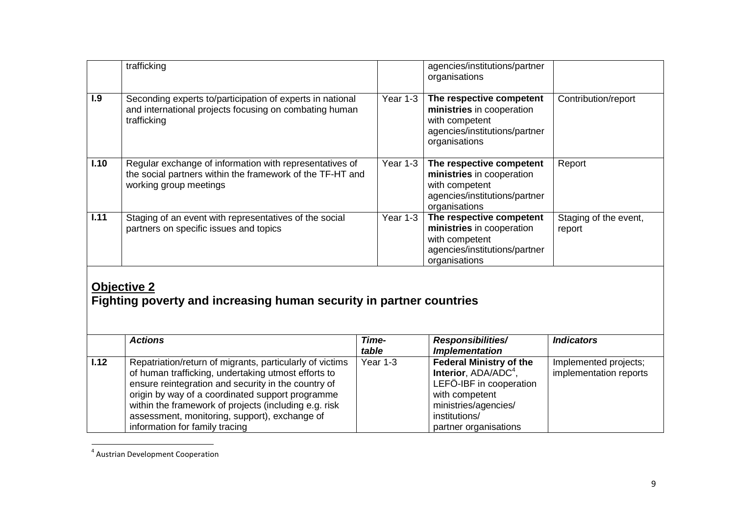|                                                                                           | trafficking                                                                                                                                                                                                                                                                                                                                                            |                | agencies/institutions/partner<br>organisations                                                                                                                                    |                                                 |  |
|-------------------------------------------------------------------------------------------|------------------------------------------------------------------------------------------------------------------------------------------------------------------------------------------------------------------------------------------------------------------------------------------------------------------------------------------------------------------------|----------------|-----------------------------------------------------------------------------------------------------------------------------------------------------------------------------------|-------------------------------------------------|--|
| 1.9                                                                                       | Seconding experts to/participation of experts in national<br>and international projects focusing on combating human<br>trafficking                                                                                                                                                                                                                                     | Year $1-3$     | The respective competent<br>ministries in cooperation<br>with competent<br>agencies/institutions/partner<br>organisations                                                         | Contribution/report                             |  |
| 1.10                                                                                      | Regular exchange of information with representatives of<br>the social partners within the framework of the TF-HT and<br>working group meetings                                                                                                                                                                                                                         | Year 1-3       | The respective competent<br>ministries in cooperation<br>with competent<br>agencies/institutions/partner<br>organisations                                                         | Report                                          |  |
| 1.11                                                                                      | Staging of an event with representatives of the social<br>partners on specific issues and topics                                                                                                                                                                                                                                                                       | Year 1-3       | The respective competent<br>ministries in cooperation<br>with competent<br>agencies/institutions/partner<br>organisations                                                         | Staging of the event,<br>report                 |  |
| <b>Objective 2</b><br>Fighting poverty and increasing human security in partner countries |                                                                                                                                                                                                                                                                                                                                                                        |                |                                                                                                                                                                                   |                                                 |  |
|                                                                                           | <b>Actions</b>                                                                                                                                                                                                                                                                                                                                                         | Time-<br>table | Responsibilities/<br><b>Implementation</b>                                                                                                                                        | <b>Indicators</b>                               |  |
| 1.12                                                                                      | Repatriation/return of migrants, particularly of victims<br>of human trafficking, undertaking utmost efforts to<br>ensure reintegration and security in the country of<br>origin by way of a coordinated support programme<br>within the framework of projects (including e.g. risk<br>assessment, monitoring, support), exchange of<br>information for family tracing | Year 1-3       | <b>Federal Ministry of the</b><br>Interior, ADA/ADC <sup>4</sup> ,<br>LEFÖ-IBF in cooperation<br>with competent<br>ministries/agencies/<br>institutions/<br>partner organisations | Implemented projects;<br>implementation reports |  |

<sup>4</sup> Austrian Development Cooperation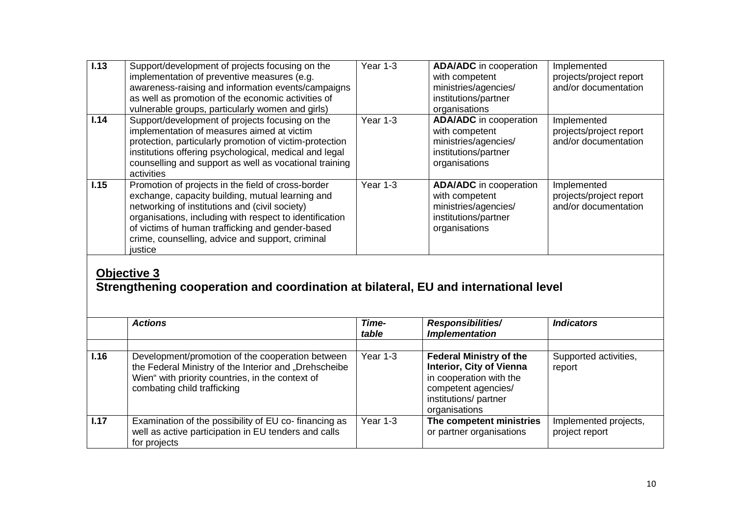| 1.13 | Support/development of projects focusing on the<br>implementation of preventive measures (e.g.<br>awareness-raising and information events/campaigns<br>as well as promotion of the economic activities of<br>vulnerable groups, particularly women and girls)                                                                         | Year 1-3 | <b>ADA/ADC</b> in cooperation<br>with competent<br>ministries/agencies/<br>institutions/partner<br>organisations | Implemented<br>projects/project report<br>and/or documentation |
|------|----------------------------------------------------------------------------------------------------------------------------------------------------------------------------------------------------------------------------------------------------------------------------------------------------------------------------------------|----------|------------------------------------------------------------------------------------------------------------------|----------------------------------------------------------------|
| 1.14 | Support/development of projects focusing on the<br>implementation of measures aimed at victim<br>protection, particularly promotion of victim-protection<br>institutions offering psychological, medical and legal<br>counselling and support as well as vocational training<br>activities                                             | Year 1-3 | <b>ADA/ADC</b> in cooperation<br>with competent<br>ministries/agencies/<br>institutions/partner<br>organisations | Implemented<br>projects/project report<br>and/or documentation |
| 1.15 | Promotion of projects in the field of cross-border<br>exchange, capacity building, mutual learning and<br>networking of institutions and (civil society)<br>organisations, including with respect to identification<br>of victims of human trafficking and gender-based<br>crime, counselling, advice and support, criminal<br>justice | Year 1-3 | <b>ADA/ADC</b> in cooperation<br>with competent<br>ministries/agencies/<br>institutions/partner<br>organisations | Implemented<br>projects/project report<br>and/or documentation |

# **Objective 3 Strengthening cooperation and coordination at bilateral, EU and international level**

|      | <b>Actions</b>                                                                                                                                                                               | Time-<br>table | <b>Responsibilities/</b><br><b>Implementation</b>                                                                                                            | <b>Indicators</b>                       |
|------|----------------------------------------------------------------------------------------------------------------------------------------------------------------------------------------------|----------------|--------------------------------------------------------------------------------------------------------------------------------------------------------------|-----------------------------------------|
|      |                                                                                                                                                                                              |                |                                                                                                                                                              |                                         |
| 1.16 | Development/promotion of the cooperation between<br>the Federal Ministry of the Interior and "Drehscheibe<br>Wien" with priority countries, in the context of<br>combating child trafficking | Year 1-3       | <b>Federal Ministry of the</b><br><b>Interior, City of Vienna</b><br>in cooperation with the<br>competent agencies/<br>institutions/partner<br>organisations | Supported activities,<br>report         |
| 1.17 | Examination of the possibility of EU co- financing as<br>well as active participation in EU tenders and calls<br>for projects                                                                | Year 1-3       | The competent ministries<br>or partner organisations                                                                                                         | Implemented projects,<br>project report |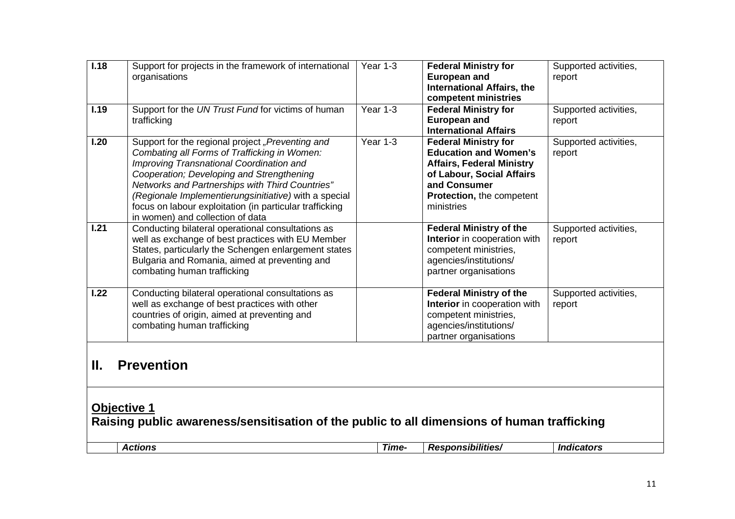| 1.18                                                                                                              | Support for projects in the framework of international<br>organisations                                                                                                                                                                                                                                                                                                                              | Year 1-3 | <b>Federal Ministry for</b><br><b>European and</b><br><b>International Affairs, the</b><br>competent ministries                                                                         | Supported activities,<br>report |
|-------------------------------------------------------------------------------------------------------------------|------------------------------------------------------------------------------------------------------------------------------------------------------------------------------------------------------------------------------------------------------------------------------------------------------------------------------------------------------------------------------------------------------|----------|-----------------------------------------------------------------------------------------------------------------------------------------------------------------------------------------|---------------------------------|
| 1.19                                                                                                              | Support for the UN Trust Fund for victims of human<br>trafficking                                                                                                                                                                                                                                                                                                                                    | Year 1-3 | <b>Federal Ministry for</b><br><b>European and</b><br><b>International Affairs</b>                                                                                                      | Supported activities,<br>report |
| 1.20                                                                                                              | Support for the regional project "Preventing and<br>Combating all Forms of Trafficking in Women:<br>Improving Transnational Coordination and<br>Cooperation; Developing and Strengthening<br>Networks and Partnerships with Third Countries"<br>(Regionale Implementierungsinitiative) with a special<br>focus on labour exploitation (in particular trafficking<br>in women) and collection of data | Year 1-3 | <b>Federal Ministry for</b><br><b>Education and Women's</b><br><b>Affairs, Federal Ministry</b><br>of Labour, Social Affairs<br>and Consumer<br>Protection, the competent<br>ministries | Supported activities,<br>report |
| 1.21                                                                                                              | Conducting bilateral operational consultations as<br>well as exchange of best practices with EU Member<br>States, particularly the Schengen enlargement states<br>Bulgaria and Romania, aimed at preventing and<br>combating human trafficking                                                                                                                                                       |          | <b>Federal Ministry of the</b><br>Interior in cooperation with<br>competent ministries,<br>agencies/institutions/<br>partner organisations                                              | Supported activities,<br>report |
| 1.22                                                                                                              | Conducting bilateral operational consultations as<br>well as exchange of best practices with other<br>countries of origin, aimed at preventing and<br>combating human trafficking                                                                                                                                                                                                                    |          | <b>Federal Ministry of the</b><br>Interior in cooperation with<br>competent ministries,<br>agencies/institutions/<br>partner organisations                                              | Supported activities,<br>report |
| <b>Prevention</b><br>П.                                                                                           |                                                                                                                                                                                                                                                                                                                                                                                                      |          |                                                                                                                                                                                         |                                 |
| <b>Objective 1</b><br>Raising public awareness/sensitisation of the public to all dimensions of human trafficking |                                                                                                                                                                                                                                                                                                                                                                                                      |          |                                                                                                                                                                                         |                                 |
|                                                                                                                   | <b>Actions</b>                                                                                                                                                                                                                                                                                                                                                                                       | Time-    | <b>Responsibilities/</b>                                                                                                                                                                | <b>Indicators</b>               |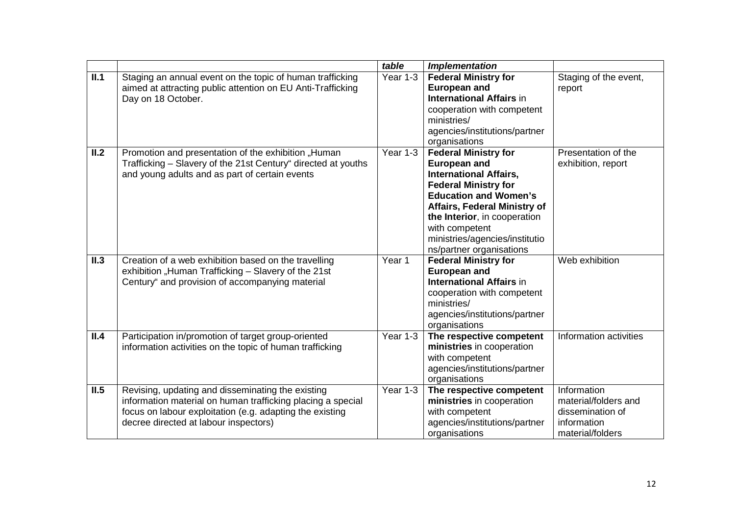|      |                                                                                                                                                                                                                       | table                  | <b>Implementation</b>                                                                                                                                                                                                                                                                                     |                                                                                            |
|------|-----------------------------------------------------------------------------------------------------------------------------------------------------------------------------------------------------------------------|------------------------|-----------------------------------------------------------------------------------------------------------------------------------------------------------------------------------------------------------------------------------------------------------------------------------------------------------|--------------------------------------------------------------------------------------------|
| II.1 | Staging an annual event on the topic of human trafficking<br>aimed at attracting public attention on EU Anti-Trafficking<br>Day on 18 October.                                                                        | $\overline{Y}$ ear 1-3 | <b>Federal Ministry for</b><br><b>European and</b><br><b>International Affairs in</b><br>cooperation with competent<br>ministries/<br>agencies/institutions/partner<br>organisations                                                                                                                      | Staging of the event,<br>report                                                            |
| II.2 | Promotion and presentation of the exhibition "Human<br>Trafficking - Slavery of the 21st Century" directed at youths<br>and young adults and as part of certain events                                                | Year 1-3               | <b>Federal Ministry for</b><br><b>European and</b><br><b>International Affairs,</b><br><b>Federal Ministry for</b><br><b>Education and Women's</b><br><b>Affairs, Federal Ministry of</b><br>the Interior, in cooperation<br>with competent<br>ministries/agencies/institutio<br>ns/partner organisations | Presentation of the<br>exhibition, report                                                  |
| II.3 | Creation of a web exhibition based on the travelling<br>exhibition "Human Trafficking - Slavery of the 21st<br>Century" and provision of accompanying material                                                        | Year 1                 | <b>Federal Ministry for</b><br><b>European and</b><br><b>International Affairs in</b><br>cooperation with competent<br>ministries/<br>agencies/institutions/partner<br>organisations                                                                                                                      | Web exhibition                                                                             |
| II.4 | Participation in/promotion of target group-oriented<br>information activities on the topic of human trafficking                                                                                                       | Year 1-3               | The respective competent<br>ministries in cooperation<br>with competent<br>agencies/institutions/partner<br>organisations                                                                                                                                                                                 | Information activities                                                                     |
| II.5 | Revising, updating and disseminating the existing<br>information material on human trafficking placing a special<br>focus on labour exploitation (e.g. adapting the existing<br>decree directed at labour inspectors) | Year 1-3               | The respective competent<br>ministries in cooperation<br>with competent<br>agencies/institutions/partner<br>organisations                                                                                                                                                                                 | Information<br>material/folders and<br>dissemination of<br>information<br>material/folders |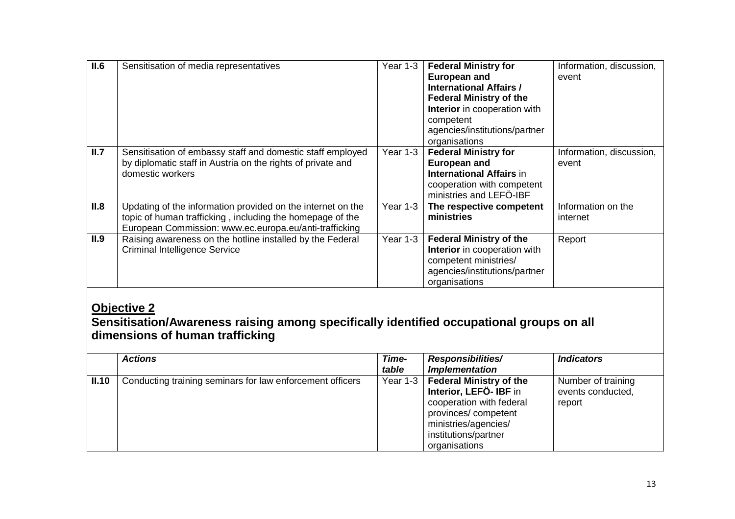| II.6 | Sensitisation of media representatives                                                                                                                                             | Year 1-3 | <b>Federal Ministry for</b><br><b>European and</b><br><b>International Affairs /</b><br><b>Federal Ministry of the</b><br>Interior in cooperation with<br>competent<br>agencies/institutions/partner<br>organisations | Information, discussion,<br>event |
|------|------------------------------------------------------------------------------------------------------------------------------------------------------------------------------------|----------|-----------------------------------------------------------------------------------------------------------------------------------------------------------------------------------------------------------------------|-----------------------------------|
| II.7 | Sensitisation of embassy staff and domestic staff employed<br>by diplomatic staff in Austria on the rights of private and<br>domestic workers                                      | Year 1-3 | <b>Federal Ministry for</b><br><b>European and</b><br><b>International Affairs in</b><br>cooperation with competent<br>ministries and LEFÖ-IBF                                                                        | Information, discussion,<br>event |
| II.8 | Updating of the information provided on the internet on the<br>topic of human trafficking, including the homepage of the<br>European Commission: www.ec.europa.eu/anti-trafficking | Year 1-3 | The respective competent<br>ministries                                                                                                                                                                                | Information on the<br>internet    |
| II.9 | Raising awareness on the hotline installed by the Federal<br><b>Criminal Intelligence Service</b>                                                                                  | Year 1-3 | <b>Federal Ministry of the</b><br>Interior in cooperation with<br>competent ministries/<br>agencies/institutions/partner<br>organisations                                                                             | Report                            |

## **Objective 2 Sensitisation/Awareness raising among specifically identified occupational groups on all dimensions of human trafficking**

|       | <b>Actions</b>                                            | Time-<br>table | <b>Responsibilities/</b><br><b>Implementation</b>                                                                                                                           | <i><b>Indicators</b></i>                          |
|-------|-----------------------------------------------------------|----------------|-----------------------------------------------------------------------------------------------------------------------------------------------------------------------------|---------------------------------------------------|
| II.10 | Conducting training seminars for law enforcement officers | Year 1-3       | <b>Federal Ministry of the</b><br>Interior, LEFÖ-IBF in<br>cooperation with federal<br>provinces/competent<br>ministries/agencies/<br>institutions/partner<br>organisations | Number of training<br>events conducted,<br>report |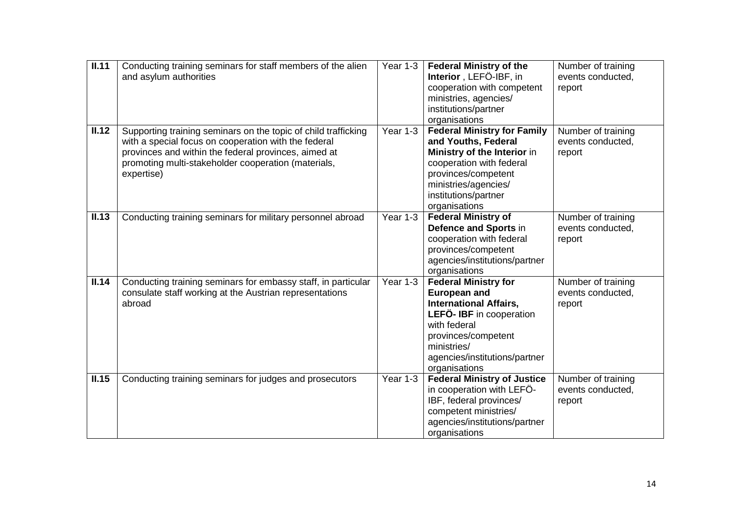| II.11 | Conducting training seminars for staff members of the alien<br>and asylum authorities                                                                                                                                                               | Year 1-3 | <b>Federal Ministry of the</b><br>Interior, LEFÖ-IBF, in<br>cooperation with competent<br>ministries, agencies/<br>institutions/partner<br>organisations                                                                | Number of training<br>events conducted,<br>report |
|-------|-----------------------------------------------------------------------------------------------------------------------------------------------------------------------------------------------------------------------------------------------------|----------|-------------------------------------------------------------------------------------------------------------------------------------------------------------------------------------------------------------------------|---------------------------------------------------|
| II.12 | Supporting training seminars on the topic of child trafficking<br>with a special focus on cooperation with the federal<br>provinces and within the federal provinces, aimed at<br>promoting multi-stakeholder cooperation (materials,<br>expertise) | Year 1-3 | <b>Federal Ministry for Family</b><br>and Youths, Federal<br>Ministry of the Interior in<br>cooperation with federal<br>provinces/competent<br>ministries/agencies/<br>institutions/partner<br>organisations            | Number of training<br>events conducted,<br>report |
| II.13 | Conducting training seminars for military personnel abroad                                                                                                                                                                                          | Year 1-3 | <b>Federal Ministry of</b><br>Defence and Sports in<br>cooperation with federal<br>provinces/competent<br>agencies/institutions/partner<br>organisations                                                                | Number of training<br>events conducted,<br>report |
| II.14 | Conducting training seminars for embassy staff, in particular<br>consulate staff working at the Austrian representations<br>abroad                                                                                                                  | Year 1-3 | <b>Federal Ministry for</b><br><b>European and</b><br><b>International Affairs,</b><br>LEFÖ- IBF in cooperation<br>with federal<br>provinces/competent<br>ministries/<br>agencies/institutions/partner<br>organisations | Number of training<br>events conducted,<br>report |
| II.15 | Conducting training seminars for judges and prosecutors                                                                                                                                                                                             | Year 1-3 | <b>Federal Ministry of Justice</b><br>in cooperation with LEFO-<br>IBF, federal provinces/<br>competent ministries/<br>agencies/institutions/partner<br>organisations                                                   | Number of training<br>events conducted,<br>report |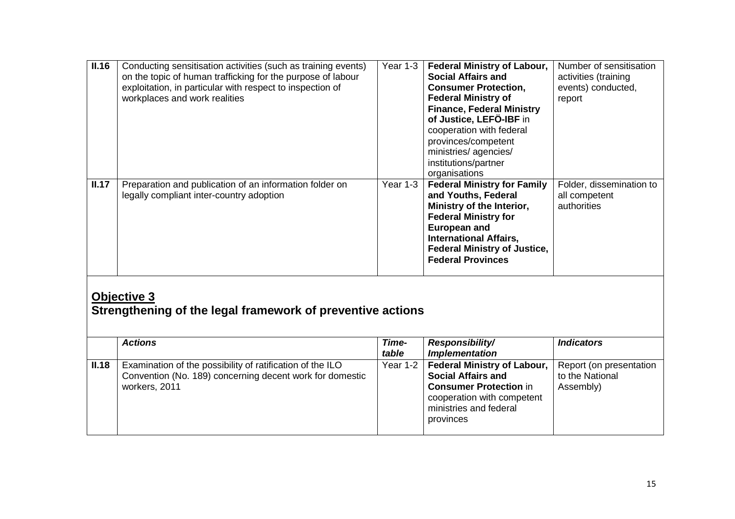| II.16                                                                            | Conducting sensitisation activities (such as training events)<br>on the topic of human trafficking for the purpose of labour<br>exploitation, in particular with respect to inspection of<br>workplaces and work realities | Year 1-3       | <b>Federal Ministry of Labour,</b><br><b>Social Affairs and</b><br><b>Consumer Protection,</b><br><b>Federal Ministry of</b><br><b>Finance, Federal Ministry</b><br>of Justice, LEFÖ-IBF in<br>cooperation with federal<br>provinces/competent<br>ministries/ agencies/<br>institutions/partner<br>organisations | Number of sensitisation<br>activities (training<br>events) conducted,<br>report |  |
|----------------------------------------------------------------------------------|----------------------------------------------------------------------------------------------------------------------------------------------------------------------------------------------------------------------------|----------------|------------------------------------------------------------------------------------------------------------------------------------------------------------------------------------------------------------------------------------------------------------------------------------------------------------------|---------------------------------------------------------------------------------|--|
| II.17                                                                            | Preparation and publication of an information folder on<br>legally compliant inter-country adoption                                                                                                                        | Year 1-3       | <b>Federal Ministry for Family</b><br>and Youths, Federal<br>Ministry of the Interior,<br><b>Federal Ministry for</b><br><b>European and</b><br><b>International Affairs,</b><br><b>Federal Ministry of Justice,</b><br><b>Federal Provinces</b>                                                                 | Folder, dissemination to<br>all competent<br>authorities                        |  |
| <b>Objective 3</b><br>Strengthening of the legal framework of preventive actions |                                                                                                                                                                                                                            |                |                                                                                                                                                                                                                                                                                                                  |                                                                                 |  |
|                                                                                  | <b>Actions</b>                                                                                                                                                                                                             | Time-<br>table | Responsibility/<br><b>Implementation</b>                                                                                                                                                                                                                                                                         | <b>Indicators</b>                                                               |  |
| II.18                                                                            | Examination of the possibility of ratification of the ILO<br>Convention (No. 189) concerning decent work for domestic<br>workers, 2011                                                                                     | Year 1-2       | <b>Federal Ministry of Labour,</b><br><b>Social Affairs and</b><br><b>Consumer Protection in</b>                                                                                                                                                                                                                 | Report (on presentation<br>to the National<br>Assembly)                         |  |

cooperation with competent ministries and federal

provinces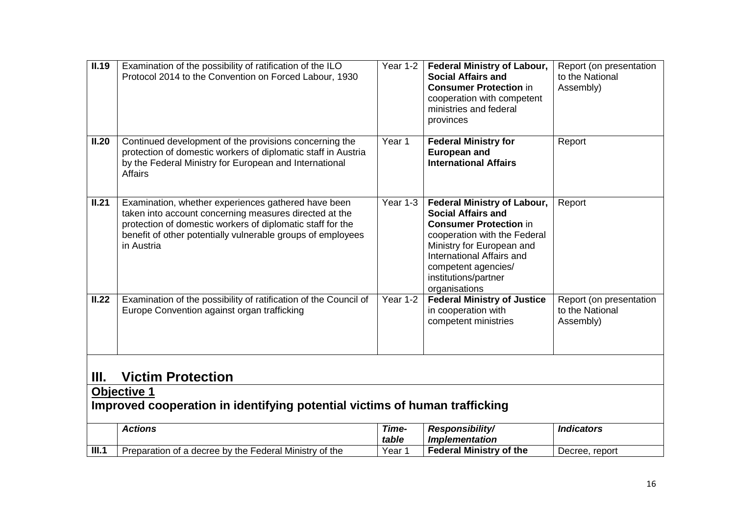| II.19                                                                                            | Examination of the possibility of ratification of the ILO<br>Protocol 2014 to the Convention on Forced Labour, 1930                                                                                                                                      | Year 1-2       | <b>Federal Ministry of Labour,</b><br><b>Social Affairs and</b><br><b>Consumer Protection in</b><br>cooperation with competent<br>ministries and federal<br>provinces                                                                                      | Report (on presentation<br>to the National<br>Assembly) |  |
|--------------------------------------------------------------------------------------------------|----------------------------------------------------------------------------------------------------------------------------------------------------------------------------------------------------------------------------------------------------------|----------------|------------------------------------------------------------------------------------------------------------------------------------------------------------------------------------------------------------------------------------------------------------|---------------------------------------------------------|--|
| II.20                                                                                            | Continued development of the provisions concerning the<br>protection of domestic workers of diplomatic staff in Austria<br>by the Federal Ministry for European and International<br>Affairs                                                             | Year 1         | <b>Federal Ministry for</b><br><b>European and</b><br><b>International Affairs</b>                                                                                                                                                                         | Report                                                  |  |
| II.21                                                                                            | Examination, whether experiences gathered have been<br>taken into account concerning measures directed at the<br>protection of domestic workers of diplomatic staff for the<br>benefit of other potentially vulnerable groups of employees<br>in Austria | Year 1-3       | <b>Federal Ministry of Labour,</b><br><b>Social Affairs and</b><br><b>Consumer Protection in</b><br>cooperation with the Federal<br>Ministry for European and<br>International Affairs and<br>competent agencies/<br>institutions/partner<br>organisations | Report                                                  |  |
| II.22                                                                                            | Examination of the possibility of ratification of the Council of<br>Europe Convention against organ trafficking                                                                                                                                          | Year 1-2       | <b>Federal Ministry of Justice</b><br>in cooperation with<br>competent ministries                                                                                                                                                                          | Report (on presentation<br>to the National<br>Assembly) |  |
| <b>Victim Protection</b><br>Ш.                                                                   |                                                                                                                                                                                                                                                          |                |                                                                                                                                                                                                                                                            |                                                         |  |
| <b>Objective 1</b><br>Improved cooperation in identifying potential victims of human trafficking |                                                                                                                                                                                                                                                          |                |                                                                                                                                                                                                                                                            |                                                         |  |
|                                                                                                  | <b>Actions</b>                                                                                                                                                                                                                                           | Time-<br>table | Responsibility/<br><b>Implementation</b>                                                                                                                                                                                                                   | <b>Indicators</b>                                       |  |
| III.1                                                                                            | Preparation of a decree by the Federal Ministry of the                                                                                                                                                                                                   | Year 1         | <b>Federal Ministry of the</b>                                                                                                                                                                                                                             | Decree, report                                          |  |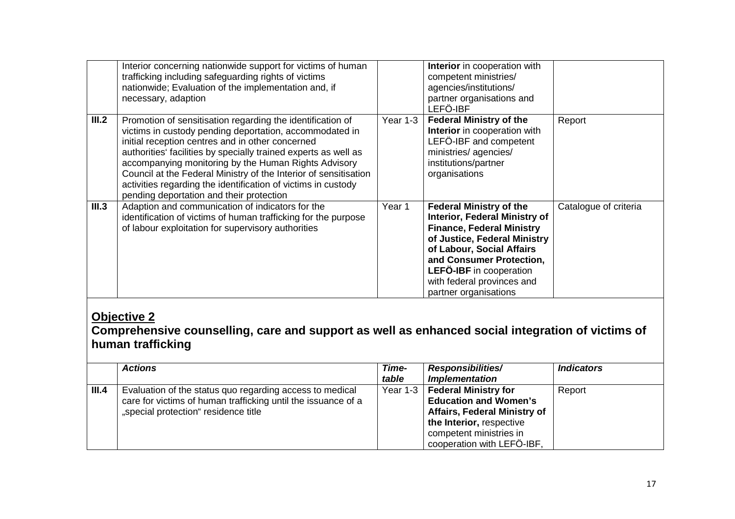|       | Interior concerning nationwide support for victims of human<br>trafficking including safeguarding rights of victims<br>nationwide; Evaluation of the implementation and, if<br>necessary, adaption                                                                                                                                                                                                                                                                                    |          | Interior in cooperation with<br>competent ministries/<br>agencies/institutions/<br>partner organisations and<br>LEFÖ-IBF                                                                                                                                                                     |                       |
|-------|---------------------------------------------------------------------------------------------------------------------------------------------------------------------------------------------------------------------------------------------------------------------------------------------------------------------------------------------------------------------------------------------------------------------------------------------------------------------------------------|----------|----------------------------------------------------------------------------------------------------------------------------------------------------------------------------------------------------------------------------------------------------------------------------------------------|-----------------------|
| III.2 | Promotion of sensitisation regarding the identification of<br>victims in custody pending deportation, accommodated in<br>initial reception centres and in other concerned<br>authorities' facilities by specially trained experts as well as<br>accompanying monitoring by the Human Rights Advisory<br>Council at the Federal Ministry of the Interior of sensitisation<br>activities regarding the identification of victims in custody<br>pending deportation and their protection | Year 1-3 | <b>Federal Ministry of the</b><br>Interior in cooperation with<br>LEFÖ-IBF and competent<br>ministries/agencies/<br>institutions/partner<br>organisations                                                                                                                                    | Report                |
| III.3 | Adaption and communication of indicators for the<br>identification of victims of human trafficking for the purpose<br>of labour exploitation for supervisory authorities                                                                                                                                                                                                                                                                                                              | Year 1   | <b>Federal Ministry of the</b><br><b>Interior, Federal Ministry of</b><br><b>Finance, Federal Ministry</b><br>of Justice, Federal Ministry<br>of Labour, Social Affairs<br>and Consumer Protection,<br><b>LEFÖ-IBF</b> in cooperation<br>with federal provinces and<br>partner organisations | Catalogue of criteria |

## **Objective 2**

 **Comprehensive counselling, care and support as well as enhanced social integration of victims of human trafficking** 

|       | <b>Actions</b>                                                                                                                                                    | Time-<br>table | <b>Responsibilities/</b><br><b>Implementation</b>                                                                                                                                       | <i><b>Indicators</b></i> |
|-------|-------------------------------------------------------------------------------------------------------------------------------------------------------------------|----------------|-----------------------------------------------------------------------------------------------------------------------------------------------------------------------------------------|--------------------------|
| III.4 | Evaluation of the status quo regarding access to medical<br>care for victims of human trafficking until the issuance of a<br>"special protection" residence title | Year 1-3       | <b>Federal Ministry for</b><br><b>Education and Women's</b><br><b>Affairs, Federal Ministry of</b><br>the Interior, respective<br>competent ministries in<br>cooperation with LEFÖ-IBF, | Report                   |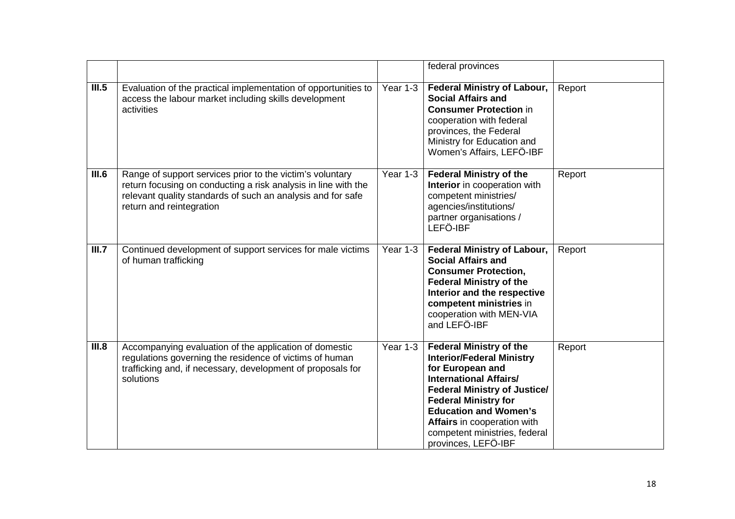|       |                                                                                                                                                                                                                        |          | federal provinces                                                                                                                                                                                                                                                                                                    |        |
|-------|------------------------------------------------------------------------------------------------------------------------------------------------------------------------------------------------------------------------|----------|----------------------------------------------------------------------------------------------------------------------------------------------------------------------------------------------------------------------------------------------------------------------------------------------------------------------|--------|
| III.5 | Evaluation of the practical implementation of opportunities to<br>access the labour market including skills development<br>activities                                                                                  | Year 1-3 | <b>Federal Ministry of Labour,</b><br><b>Social Affairs and</b><br><b>Consumer Protection in</b><br>cooperation with federal<br>provinces, the Federal<br>Ministry for Education and<br>Women's Affairs, LEFÖ-IBF                                                                                                    | Report |
| III.6 | Range of support services prior to the victim's voluntary<br>return focusing on conducting a risk analysis in line with the<br>relevant quality standards of such an analysis and for safe<br>return and reintegration | Year 1-3 | <b>Federal Ministry of the</b><br>Interior in cooperation with<br>competent ministries/<br>agencies/institutions/<br>partner organisations /<br>LEFÖ-IBF                                                                                                                                                             | Report |
| III.7 | Continued development of support services for male victims<br>of human trafficking                                                                                                                                     | Year 1-3 | <b>Federal Ministry of Labour,</b><br><b>Social Affairs and</b><br><b>Consumer Protection,</b><br><b>Federal Ministry of the</b><br>Interior and the respective<br>competent ministries in<br>cooperation with MEN-VIA<br>and LEFÖ-IBF                                                                               | Report |
| III.8 | Accompanying evaluation of the application of domestic<br>regulations governing the residence of victims of human<br>trafficking and, if necessary, development of proposals for<br>solutions                          | Year 1-3 | <b>Federal Ministry of the</b><br><b>Interior/Federal Ministry</b><br>for European and<br><b>International Affairs/</b><br><b>Federal Ministry of Justice/</b><br><b>Federal Ministry for</b><br><b>Education and Women's</b><br>Affairs in cooperation with<br>competent ministries, federal<br>provinces, LEFÖ-IBF | Report |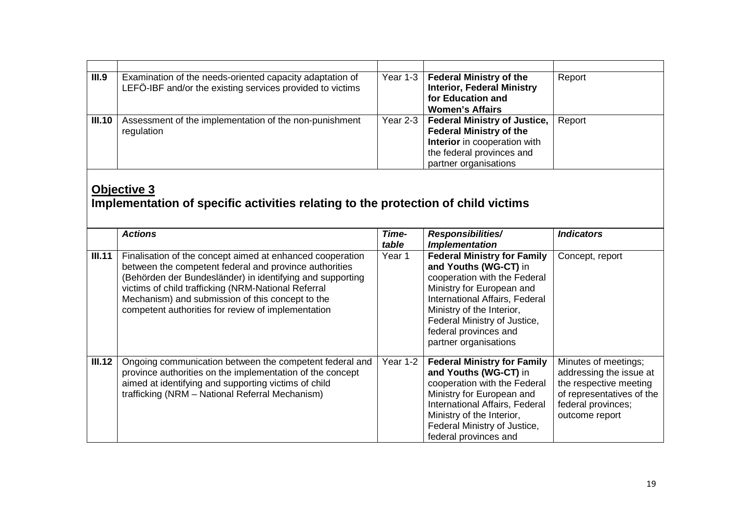| III.9  | Examination of the needs-oriented capacity adaptation of<br>LEFÖ-IBF and/or the existing services provided to victims | Year 1-3 $ $ | <b>Federal Ministry of the</b><br><b>Interior, Federal Ministry</b><br>for Education and<br><b>Women's Affairs</b>                                                 | Report |
|--------|-----------------------------------------------------------------------------------------------------------------------|--------------|--------------------------------------------------------------------------------------------------------------------------------------------------------------------|--------|
| III.10 | Assessment of the implementation of the non-punishment<br>regulation                                                  | Year 2-3     | <b>Federal Ministry of Justice,</b><br><b>Federal Ministry of the</b><br><b>Interior</b> in cooperation with<br>the federal provinces and<br>partner organisations | Report |

## **Objective 3 Implementation of specific activities relating to the protection of child victims**

|        | <b>Actions</b>                                                                                                                                                                                                                                                                                                                                    | Time-<br>table | <b>Responsibilities/</b><br><b>Implementation</b>                                                                                                                                                                                                                         | <b>Indicators</b>                                                                                                                              |
|--------|---------------------------------------------------------------------------------------------------------------------------------------------------------------------------------------------------------------------------------------------------------------------------------------------------------------------------------------------------|----------------|---------------------------------------------------------------------------------------------------------------------------------------------------------------------------------------------------------------------------------------------------------------------------|------------------------------------------------------------------------------------------------------------------------------------------------|
| III.11 | Finalisation of the concept aimed at enhanced cooperation<br>between the competent federal and province authorities<br>(Behörden der Bundesländer) in identifying and supporting<br>victims of child trafficking (NRM-National Referral<br>Mechanism) and submission of this concept to the<br>competent authorities for review of implementation | Year 1         | <b>Federal Ministry for Family</b><br>and Youths (WG-CT) in<br>cooperation with the Federal<br>Ministry for European and<br>International Affairs, Federal<br>Ministry of the Interior,<br>Federal Ministry of Justice,<br>federal provinces and<br>partner organisations | Concept, report                                                                                                                                |
| III.12 | Ongoing communication between the competent federal and<br>province authorities on the implementation of the concept<br>aimed at identifying and supporting victims of child<br>trafficking (NRM - National Referral Mechanism)                                                                                                                   | Year 1-2       | <b>Federal Ministry for Family</b><br>and Youths (WG-CT) in<br>cooperation with the Federal<br>Ministry for European and<br>International Affairs, Federal<br>Ministry of the Interior,<br>Federal Ministry of Justice,<br>federal provinces and                          | Minutes of meetings;<br>addressing the issue at<br>the respective meeting<br>of representatives of the<br>federal provinces;<br>outcome report |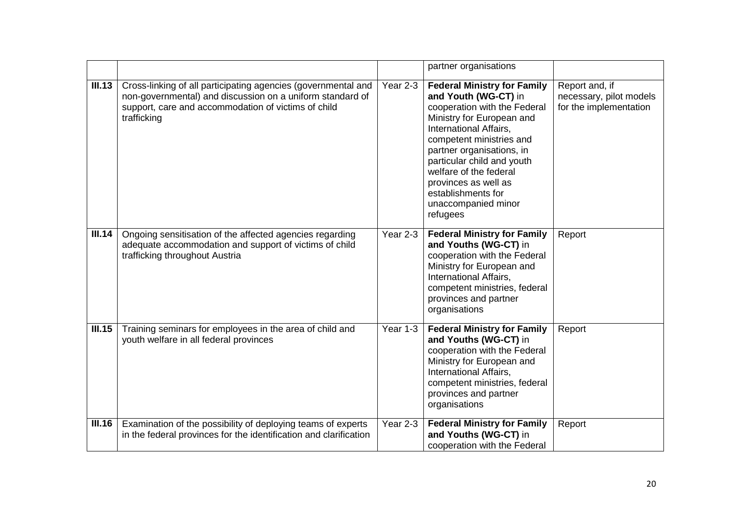|        |                                                                                                                                                                                                  |          | partner organisations                                                                                                                                                                                                                                                                                                                               |                                                                     |
|--------|--------------------------------------------------------------------------------------------------------------------------------------------------------------------------------------------------|----------|-----------------------------------------------------------------------------------------------------------------------------------------------------------------------------------------------------------------------------------------------------------------------------------------------------------------------------------------------------|---------------------------------------------------------------------|
| III.13 | Cross-linking of all participating agencies (governmental and<br>non-governmental) and discussion on a uniform standard of<br>support, care and accommodation of victims of child<br>trafficking | Year 2-3 | <b>Federal Ministry for Family</b><br>and Youth (WG-CT) in<br>cooperation with the Federal<br>Ministry for European and<br>International Affairs,<br>competent ministries and<br>partner organisations, in<br>particular child and youth<br>welfare of the federal<br>provinces as well as<br>establishments for<br>unaccompanied minor<br>refugees | Report and, if<br>necessary, pilot models<br>for the implementation |
| III.14 | Ongoing sensitisation of the affected agencies regarding<br>adequate accommodation and support of victims of child<br>trafficking throughout Austria                                             | Year 2-3 | <b>Federal Ministry for Family</b><br>and Youths (WG-CT) in<br>cooperation with the Federal<br>Ministry for European and<br>International Affairs,<br>competent ministries, federal<br>provinces and partner<br>organisations                                                                                                                       | Report                                                              |
| III.15 | Training seminars for employees in the area of child and<br>youth welfare in all federal provinces                                                                                               | Year 1-3 | <b>Federal Ministry for Family</b><br>and Youths (WG-CT) in<br>cooperation with the Federal<br>Ministry for European and<br>International Affairs,<br>competent ministries, federal<br>provinces and partner<br>organisations                                                                                                                       | Report                                                              |
| III.16 | Examination of the possibility of deploying teams of experts<br>in the federal provinces for the identification and clarification                                                                | Year 2-3 | <b>Federal Ministry for Family</b><br>and Youths (WG-CT) in<br>cooperation with the Federal                                                                                                                                                                                                                                                         | Report                                                              |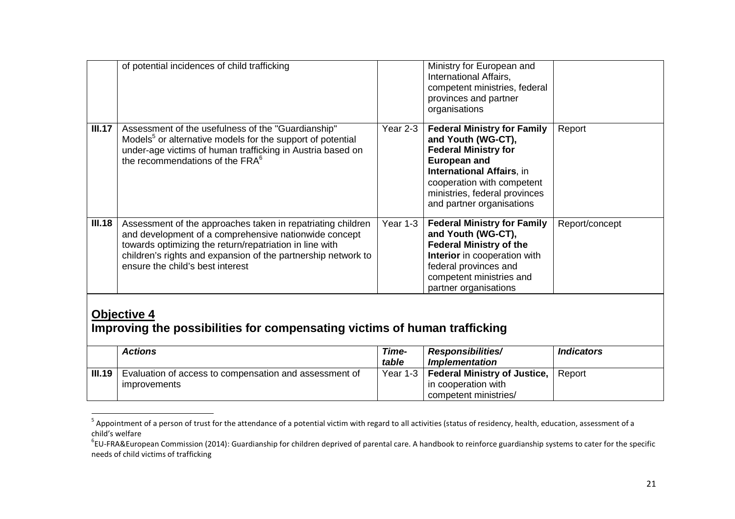|                                                                                                 | of potential incidences of child trafficking                                                                                                                                                                                                                                         |                | Ministry for European and<br>International Affairs,<br>competent ministries, federal<br>provinces and partner<br>organisations                                                                                                                 |                   |
|-------------------------------------------------------------------------------------------------|--------------------------------------------------------------------------------------------------------------------------------------------------------------------------------------------------------------------------------------------------------------------------------------|----------------|------------------------------------------------------------------------------------------------------------------------------------------------------------------------------------------------------------------------------------------------|-------------------|
| III.17                                                                                          | Assessment of the usefulness of the "Guardianship"<br>Models <sup>5</sup> or alternative models for the support of potential<br>under-age victims of human trafficking in Austria based on<br>the recommendations of the FRA <sup>6</sup>                                            | Year 2-3       | <b>Federal Ministry for Family</b><br>and Youth (WG-CT),<br><b>Federal Ministry for</b><br><b>European and</b><br><b>International Affairs, in</b><br>cooperation with competent<br>ministries, federal provinces<br>and partner organisations | Report            |
| III.18                                                                                          | Assessment of the approaches taken in repatriating children<br>and development of a comprehensive nationwide concept<br>towards optimizing the return/repatriation in line with<br>children's rights and expansion of the partnership network to<br>ensure the child's best interest | Year 1-3       | <b>Federal Ministry for Family</b><br>and Youth (WG-CT),<br><b>Federal Ministry of the</b><br>Interior in cooperation with<br>federal provinces and<br>competent ministries and<br>partner organisations                                       | Report/concept    |
| <b>Objective 4</b><br>Improving the possibilities for compensating victims of human trafficking |                                                                                                                                                                                                                                                                                      |                |                                                                                                                                                                                                                                                |                   |
|                                                                                                 | <b>Actions</b>                                                                                                                                                                                                                                                                       | Time-<br>table | Responsibilities/<br><b>Implementation</b>                                                                                                                                                                                                     | <b>Indicators</b> |
| III.19                                                                                          | Evaluation of access to compensation and assessment of<br>improvements                                                                                                                                                                                                               | Year 1-3       | <b>Federal Ministry of Justice,</b><br>in cooperation with<br>competent ministries/                                                                                                                                                            | Report            |

 $^5$  Appointment of a person of trust for the attendance of a potential victim with regard to all activities (status of residency, health, education, assessment of a child's welfare

 ${}^6$ EU-FRA&European Commission (2014): Guardianship for children deprived of parental care. A handbook to reinforce guardianship systems to cater for the specific needs of child victims of trafficking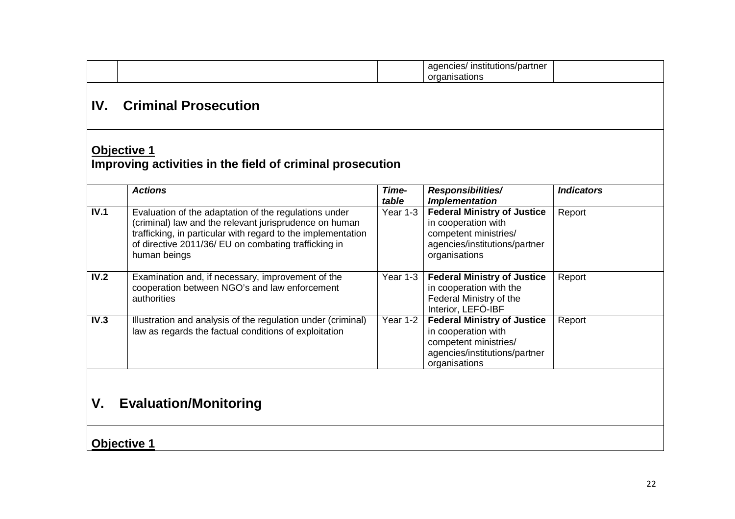|                                    |                                                                                                                                                                                                                                                         |                        | agencies/ institutions/partner<br>organisations                                                                                      |                   |
|------------------------------------|---------------------------------------------------------------------------------------------------------------------------------------------------------------------------------------------------------------------------------------------------------|------------------------|--------------------------------------------------------------------------------------------------------------------------------------|-------------------|
| IV.                                | <b>Criminal Prosecution</b>                                                                                                                                                                                                                             |                        |                                                                                                                                      |                   |
|                                    | <b>Objective 1</b><br>Improving activities in the field of criminal prosecution                                                                                                                                                                         |                        |                                                                                                                                      |                   |
|                                    | <b>Actions</b>                                                                                                                                                                                                                                          | Time-<br>table         | Responsibilities/<br><b>Implementation</b>                                                                                           | <b>Indicators</b> |
| IV.1                               | Evaluation of the adaptation of the regulations under<br>(criminal) law and the relevant jurisprudence on human<br>trafficking, in particular with regard to the implementation<br>of directive 2011/36/ EU on combating trafficking in<br>human beings | Year 1-3               | <b>Federal Ministry of Justice</b><br>in cooperation with<br>competent ministries/<br>agencies/institutions/partner<br>organisations | Report            |
| IV.2                               | Examination and, if necessary, improvement of the<br>cooperation between NGO's and law enforcement<br>authorities                                                                                                                                       | Year 1-3               | <b>Federal Ministry of Justice</b><br>in cooperation with the<br>Federal Ministry of the<br>Interior, LEFÖ-IBF                       | Report            |
| $\overline{IV.3}$                  | Illustration and analysis of the regulation under (criminal)<br>law as regards the factual conditions of exploitation                                                                                                                                   | $\overline{Y}$ ear 1-2 | <b>Federal Ministry of Justice</b><br>in cooperation with<br>competent ministries/<br>agencies/institutions/partner<br>organisations | Report            |
| <b>Evaluation/Monitoring</b><br>V. |                                                                                                                                                                                                                                                         |                        |                                                                                                                                      |                   |
|                                    | <b>Objective 1</b>                                                                                                                                                                                                                                      |                        |                                                                                                                                      |                   |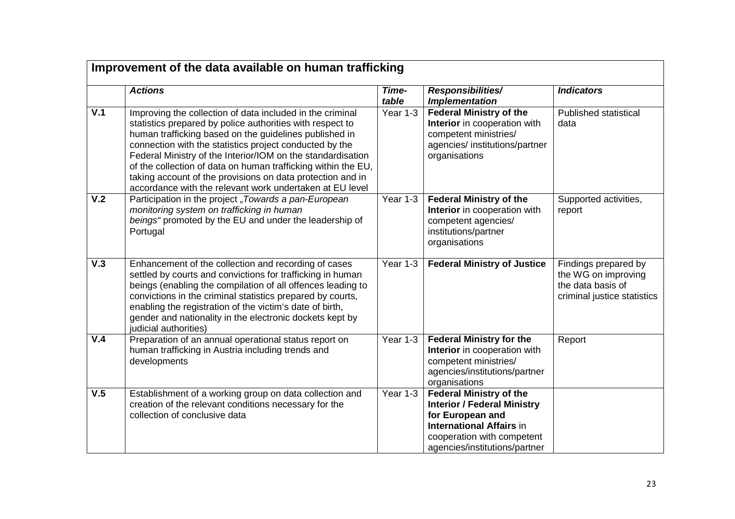|     | Improvement of the data available on human trafficking                                                                                                                                                                                                                                                                                                                                                                                                                                                |                |                                                                                                                                                                                            |                                                                                                 |  |
|-----|-------------------------------------------------------------------------------------------------------------------------------------------------------------------------------------------------------------------------------------------------------------------------------------------------------------------------------------------------------------------------------------------------------------------------------------------------------------------------------------------------------|----------------|--------------------------------------------------------------------------------------------------------------------------------------------------------------------------------------------|-------------------------------------------------------------------------------------------------|--|
|     | <b>Actions</b>                                                                                                                                                                                                                                                                                                                                                                                                                                                                                        | Time-<br>table | Responsibilities/<br><b>Implementation</b>                                                                                                                                                 | <b>Indicators</b>                                                                               |  |
| V.1 | Improving the collection of data included in the criminal<br>statistics prepared by police authorities with respect to<br>human trafficking based on the guidelines published in<br>connection with the statistics project conducted by the<br>Federal Ministry of the Interior/IOM on the standardisation<br>of the collection of data on human trafficking within the EU,<br>taking account of the provisions on data protection and in<br>accordance with the relevant work undertaken at EU level | Year 1-3       | <b>Federal Ministry of the</b><br>Interior in cooperation with<br>competent ministries/<br>agencies/ institutions/partner<br>organisations                                                 | <b>Published statistical</b><br>data                                                            |  |
| V.2 | Participation in the project "Towards a pan-European<br>monitoring system on trafficking in human<br>beings" promoted by the EU and under the leadership of<br>Portugal                                                                                                                                                                                                                                                                                                                               | Year 1-3       | <b>Federal Ministry of the</b><br>Interior in cooperation with<br>competent agencies/<br>institutions/partner<br>organisations                                                             | Supported activities,<br>report                                                                 |  |
| V.3 | Enhancement of the collection and recording of cases<br>settled by courts and convictions for trafficking in human<br>beings (enabling the compilation of all offences leading to<br>convictions in the criminal statistics prepared by courts,<br>enabling the registration of the victim's date of birth,<br>gender and nationality in the electronic dockets kept by<br>judicial authorities)                                                                                                      | Year 1-3       | <b>Federal Ministry of Justice</b>                                                                                                                                                         | Findings prepared by<br>the WG on improving<br>the data basis of<br>criminal justice statistics |  |
| V.4 | Preparation of an annual operational status report on<br>human trafficking in Austria including trends and<br>developments                                                                                                                                                                                                                                                                                                                                                                            | Year 1-3       | <b>Federal Ministry for the</b><br>Interior in cooperation with<br>competent ministries/<br>agencies/institutions/partner<br>organisations                                                 | Report                                                                                          |  |
| V.5 | Establishment of a working group on data collection and<br>creation of the relevant conditions necessary for the<br>collection of conclusive data                                                                                                                                                                                                                                                                                                                                                     | Year 1-3       | <b>Federal Ministry of the</b><br><b>Interior / Federal Ministry</b><br>for European and<br><b>International Affairs in</b><br>cooperation with competent<br>agencies/institutions/partner |                                                                                                 |  |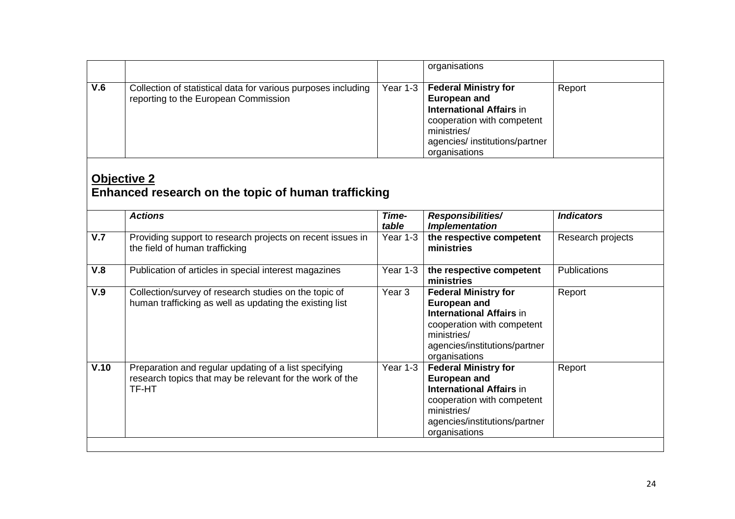|                                                                    |                                                                                                                            |                   | organisations                                                                                                                                                                         |                     |  |
|--------------------------------------------------------------------|----------------------------------------------------------------------------------------------------------------------------|-------------------|---------------------------------------------------------------------------------------------------------------------------------------------------------------------------------------|---------------------|--|
| V.6                                                                | Collection of statistical data for various purposes including<br>reporting to the European Commission                      | Year 1-3          | <b>Federal Ministry for</b><br><b>European and</b><br><b>International Affairs in</b><br>cooperation with competent<br>ministries/<br>agencies/ institutions/partner<br>organisations | Report              |  |
| Objective 2<br>Enhanced research on the topic of human trafficking |                                                                                                                            |                   |                                                                                                                                                                                       |                     |  |
|                                                                    | <b>Actions</b>                                                                                                             | Time-<br>table    | Responsibilities/<br><b>Implementation</b>                                                                                                                                            | <b>Indicators</b>   |  |
| V.7                                                                | Providing support to research projects on recent issues in<br>the field of human trafficking                               | Year 1-3          | the respective competent<br>ministries                                                                                                                                                | Research projects   |  |
| V.8                                                                | Publication of articles in special interest magazines                                                                      | Year 1-3          | the respective competent<br>ministries                                                                                                                                                | <b>Publications</b> |  |
| V.9                                                                | Collection/survey of research studies on the topic of<br>human trafficking as well as updating the existing list           | Year <sub>3</sub> | <b>Federal Ministry for</b><br><b>European and</b><br><b>International Affairs in</b><br>cooperation with competent<br>ministries/<br>agencies/institutions/partner<br>organisations  | Report              |  |
| V.10                                                               | Preparation and regular updating of a list specifying<br>research topics that may be relevant for the work of the<br>TF-HT | Year 1-3          | <b>Federal Ministry for</b><br><b>European and</b><br><b>International Affairs in</b><br>cooperation with competent<br>ministries/<br>agencies/institutions/partner<br>organisations  | Report              |  |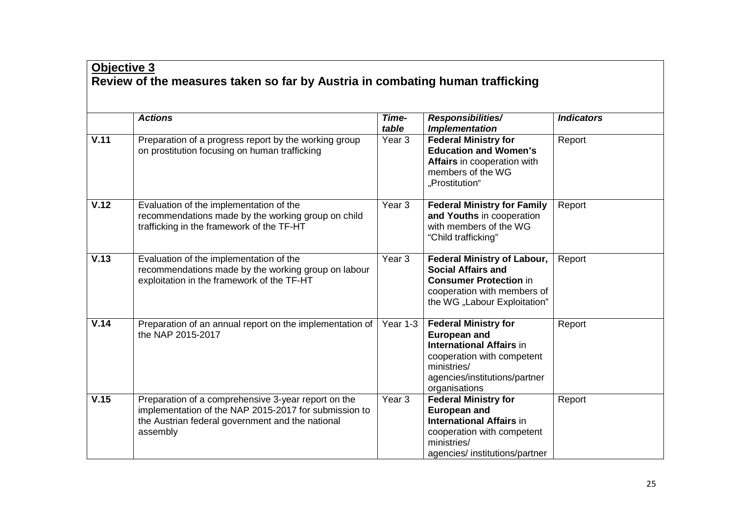## **Objective <sup>3</sup> Review of the measures taken so far by Austria in combating human trafficking**

|      | <b>Actions</b>                                                                                                                                                               | Time-<br>table    | <b>Responsibilities/</b><br><b>Implementation</b>                                                                                                                                    | <b>Indicators</b> |
|------|------------------------------------------------------------------------------------------------------------------------------------------------------------------------------|-------------------|--------------------------------------------------------------------------------------------------------------------------------------------------------------------------------------|-------------------|
| V.11 | Preparation of a progress report by the working group<br>on prostitution focusing on human trafficking                                                                       | Year <sub>3</sub> | <b>Federal Ministry for</b><br><b>Education and Women's</b><br>Affairs in cooperation with<br>members of the WG<br>"Prostitution"                                                    | Report            |
| V.12 | Evaluation of the implementation of the<br>recommendations made by the working group on child<br>trafficking in the framework of the TF-HT                                   | Year <sub>3</sub> | <b>Federal Ministry for Family</b><br>and Youths in cooperation<br>with members of the WG<br>"Child trafficking"                                                                     | Report            |
| V.13 | Evaluation of the implementation of the<br>recommendations made by the working group on labour<br>exploitation in the framework of the TF-HT                                 | Year <sub>3</sub> | <b>Federal Ministry of Labour,</b><br><b>Social Affairs and</b><br><b>Consumer Protection in</b><br>cooperation with members of<br>the WG "Labour Exploitation"                      | Report            |
| V.14 | Preparation of an annual report on the implementation of<br>the NAP 2015-2017                                                                                                | Year 1-3          | <b>Federal Ministry for</b><br><b>European and</b><br><b>International Affairs in</b><br>cooperation with competent<br>ministries/<br>agencies/institutions/partner<br>organisations | Report            |
| V.15 | Preparation of a comprehensive 3-year report on the<br>implementation of the NAP 2015-2017 for submission to<br>the Austrian federal government and the national<br>assembly | Year 3            | <b>Federal Ministry for</b><br><b>European and</b><br><b>International Affairs in</b><br>cooperation with competent<br>ministries/<br>agencies/institutions/partner                  | Report            |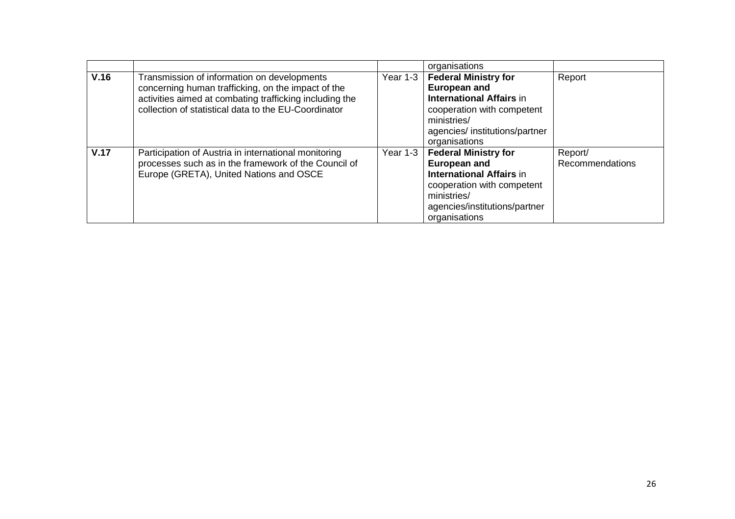|      |                                                                                                                                                                                                                      |          | organisations                                                                                                                                                                        |                            |
|------|----------------------------------------------------------------------------------------------------------------------------------------------------------------------------------------------------------------------|----------|--------------------------------------------------------------------------------------------------------------------------------------------------------------------------------------|----------------------------|
| V.16 | Transmission of information on developments<br>concerning human trafficking, on the impact of the<br>activities aimed at combating trafficking including the<br>collection of statistical data to the EU-Coordinator | Year 1-3 | <b>Federal Ministry for</b><br><b>European and</b><br><b>International Affairs in</b><br>cooperation with competent<br>ministries/<br>agencies/institutions/partner<br>organisations | Report                     |
| V.17 | Participation of Austria in international monitoring<br>processes such as in the framework of the Council of<br>Europe (GRETA), United Nations and OSCE                                                              | Year 1-3 | <b>Federal Ministry for</b><br><b>European and</b><br><b>International Affairs in</b><br>cooperation with competent<br>ministries/<br>agencies/institutions/partner<br>organisations | Report/<br>Recommendations |